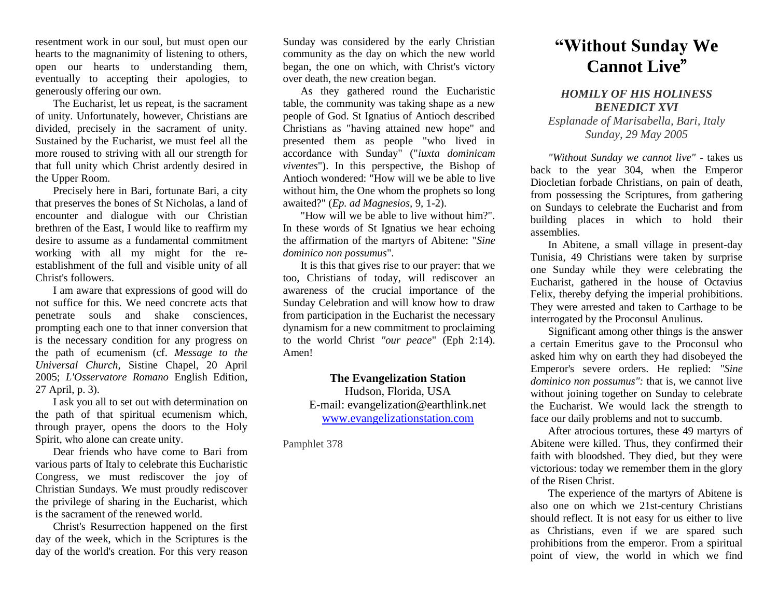resentment work in our soul, but must open our hearts to the magnanimity of listening to others, open our hearts to understanding them, eventually to accepting their apologies, to generously offering our own.

The Eucharist, let us repeat, is the sacrament of unity. Unfortunately, however, Christians are divided, precisely in the sacrament of unity. Sustained by the Eucharist, we must feel all the more roused to striving with all our strength for that full unity which Christ ardently desired in the Upper Room.

Precisely here in Bari, fortunate Bari, a city that preserves the bones of St Nicholas, a land of encounter and dialogue with our Christian brethren of the East, I would like to reaffirm my desire to assume as a fundamental commitment working with all my might for the reestablishment of the full and visible unity of all Christ's followers.

I am aware that expressions of good will do not suffice for this. We need concrete acts that penetrate souls and shake consciences, prompting each one to that inner conversion that is the necessary condition for any progress on the path of ecumenism (cf. *Message to the Universal Church,* Sistine Chapel, 20 April 2005; *L'Osservatore Romano* English Edition, 27 April, p. 3).

I ask you all to set out with determination on the path of that spiritual ecumenism which, through prayer, opens the doors to the Holy Spirit, who alone can create unity.

Dear friends who have come to Bari from various parts of Italy to celebrate this Eucharistic Congress, we must rediscover the joy of Christian Sundays. We must proudly rediscover the privilege of sharing in the Eucharist, which is the sacrament of the renewed world.

Christ's Resurrection happened on the first day of the week, which in the Scriptures is the day of the world's creation. For this very reason

Sunday was considered by the early Christian community as the day on which the new world began, the one on which, with Christ's victory over death, the new creation began.

As they gathered round the Eucharistic table, the community was taking shape as a new people of God. St Ignatius of Antioch described Christians as "having attained new hope" and presented them as people "who lived in accordance with Sunday" ("*iuxta dominicam viventes*"). In this perspective, the Bishop of Antioch wondered: "How will we be able to live without him, the One whom the prophets so long awaited?" (*Ep. ad Magnesios,* 9, 1-2).

"How will we be able to live without him?". In these words of St Ignatius we hear echoing the affirmation of the martyrs of Abitene: "*Sine dominico non possumus*".

It is this that gives rise to our prayer: that we too, Christians of today, will rediscover an awareness of the crucial importance of the Sunday Celebration and will know how to draw from participation in the Eucharist the necessary dynamism for a new commitment to proclaiming to the world Christ *"our peace*" (Eph 2:14). Amen!

> **The Evangelization Station**  Hudson, Florida, USA E-mail: evangelization@earthlink.net [www.evangelizationstation.com](http://www.pjpiisoe.org/)

Pamphlet 378

## **"Without Sunday We Cannot Live**"

## *HOMILY OF HIS HOLINESS BENEDICT XVI Esplanade of Marisabella, Bari, Italy Sunday, 29 May 2005*

*"Without Sunday we cannot live"* - takes us back to the year 304, when the Emperor Diocletian forbade Christians, on pain of death, from possessing the Scriptures, from gathering on Sundays to celebrate the Eucharist and from building places in which to hold their assemblies.

In Abitene, a small village in present-day Tunisia, 49 Christians were taken by surprise one Sunday while they were celebrating the Eucharist, gathered in the house of Octavius Felix, thereby defying the imperial prohibitions. They were arrested and taken to Carthage to be interrogated by the Proconsul Anulinus.

Significant among other things is the answer a certain Emeritus gave to the Proconsul who asked him why on earth they had disobeyed the Emperor's severe orders. He replied: *"Sine dominico non possumus":* that is, we cannot live without joining together on Sunday to celebrate the Eucharist. We would lack the strength to face our daily problems and not to succumb.

After atrocious tortures, these 49 martyrs of Abitene were killed. Thus, they confirmed their faith with bloodshed. They died, but they were victorious: today we remember them in the glory of the Risen Christ.

The experience of the martyrs of Abitene is also one on which we 21st-century Christians should reflect. It is not easy for us either to live as Christians, even if we are spared such prohibitions from the emperor. From a spiritual point of view, the world in which we find